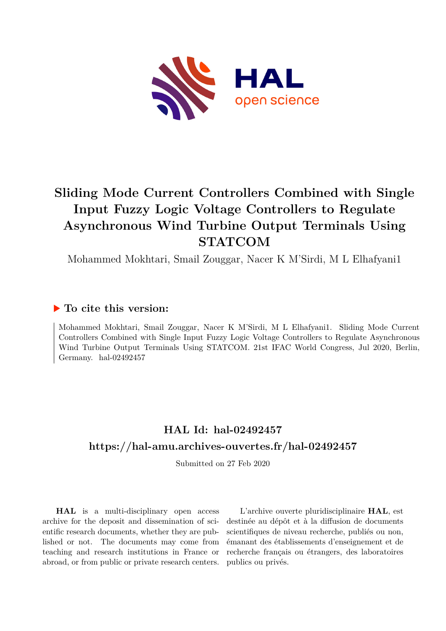

# **Sliding Mode Current Controllers Combined with Single Input Fuzzy Logic Voltage Controllers to Regulate Asynchronous Wind Turbine Output Terminals Using STATCOM**

Mohammed Mokhtari, Smail Zouggar, Nacer K M'Sirdi, M L Elhafyani1

# **To cite this version:**

Mohammed Mokhtari, Smail Zouggar, Nacer K M'Sirdi, M L Elhafyani1. Sliding Mode Current Controllers Combined with Single Input Fuzzy Logic Voltage Controllers to Regulate Asynchronous Wind Turbine Output Terminals Using STATCOM. 21st IFAC World Congress, Jul 2020, Berlin, Germany.  $hal-02492457$ 

# **HAL Id: hal-02492457 <https://hal-amu.archives-ouvertes.fr/hal-02492457>**

Submitted on 27 Feb 2020

**HAL** is a multi-disciplinary open access archive for the deposit and dissemination of scientific research documents, whether they are published or not. The documents may come from teaching and research institutions in France or abroad, or from public or private research centers.

L'archive ouverte pluridisciplinaire **HAL**, est destinée au dépôt et à la diffusion de documents scientifiques de niveau recherche, publiés ou non, émanant des établissements d'enseignement et de recherche français ou étrangers, des laboratoires publics ou privés.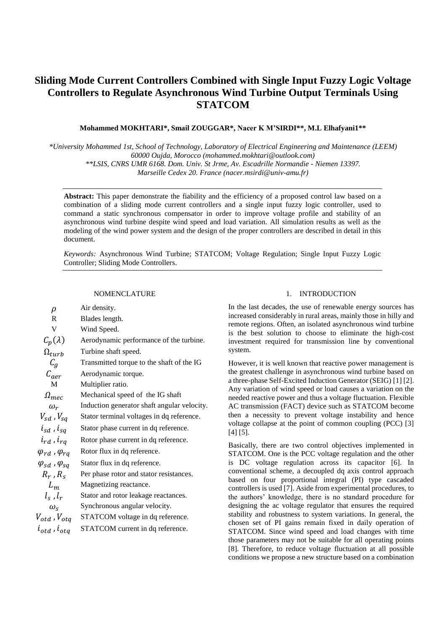# **Sliding Mode Current Controllers Combined with Single Input Fuzzy Logic Voltage Controllers to Regulate Asynchronous Wind Turbine Output Terminals Using STATCOM**

# **Mohammed MOKHTARI\*, Smail ZOUGGAR\*, Nacer K M'SIRDI\*\*, M.L Elhafyani1\*\***

*\*University Mohammed 1st, School of Technology, Laboratory of Electrical Engineering and Maintenance (LEEM) 60000 Oujda, Morocco (mohammed.mokhtari@outlook.com) \*\*LSIS, CNRS UMR 6168. Dom. Univ. St Jrme, Av. Escadrille Normandie - Niemen 13397. Marseille Cedex 20. France (nacer.msirdi@univ-amu.fr)*

**Abstract:** This paper demonstrate the fiability and the efficiency of a proposed control law based on a combination of a sliding mode current controllers and a single input fuzzy logic controller, used to command a static synchronous compensator in order to improve voltage profile and stability of an asynchronous wind turbine despite wind speed and load variation. All simulation results as well as the modeling of the wind power system and the design of the proper controllers are described in detail in this document.

*Keywords:* Asynchronous Wind Turbine; STATCOM; Voltage Regulation; Single Input Fuzzy Logic Controller; Sliding Mode Controllers.

## NOMENCLATURE

| $\rho$                          | Air density.                                |
|---------------------------------|---------------------------------------------|
| R                               | Blades length.                              |
| V                               | Wind Speed.                                 |
| $C_p(\lambda)$                  | Aerodynamic performance of the turbine.     |
| $\Omega_{turb}$                 | Turbine shaft speed.                        |
| $C_q$                           | Transmitted torque to the shaft of the IG   |
| $C_{\text{a}er}$                | Aerodynamic torque.                         |
| M                               | Multiplier ratio.                           |
| $\Omega_{mec}$                  | Mechanical speed of the IG shaft            |
| $\omega_r$                      | Induction generator shaft angular velocity. |
| $V_{sd}$ , $V_{sa}$             | Stator terminal voltages in dq reference.   |
| $i_{sd}$ , $i_{sd}$             | Stator phase current in dq reference.       |
| $i_{rd}$ , $i_{rq}$             | Rotor phase current in dq reference.        |
| $\varphi_{rd}$ , $\varphi_{rq}$ | Rotor flux in dq reference.                 |
| $\varphi_{sd}$ , $\varphi_{sq}$ | Stator flux in dq reference.                |
| $R_r$ , $R_s$                   | Per phase rotor and stator resistances.     |
| $L_m$                           | Magnetizing reactance.                      |
| $l_s$ , $l_r$                   | Stator and rotor leakage reactances.        |
| $\omega_{\rm s}$                | Synchronous angular velocity.               |
| $V_{otd}$ , $V_{otq}$           | STATCOM voltage in dq reference.            |
| $i_{otd}$ , $i_{otd}$           | STATCOM current in dq reference.            |

# 1. INTRODUCTION

In the last decades, the use of renewable energy sources has increased considerably in rural areas, mainly those in hilly and remote regions. Often, an isolated asynchronous wind turbine is the best solution to choose to eliminate the high-cost investment required for transmission line by conventional system.

However, it is well known that reactive power management is the greatest challenge in asynchronous wind turbine based on a three-phase Self-Excited Induction Generator (SEIG) [1] [2]. Any variation of wind speed or load causes a variation on the needed reactive power and thus a voltage fluctuation. Flexible AC transmission (FACT) device such as STATCOM become then a necessity to prevent voltage instability and hence voltage collapse at the point of common coupling (PCC) [3] [4] [5].

Basically, there are two control objectives implemented in STATCOM. One is the PCC voltage regulation and the other is DC voltage regulation across its capacitor [6]. In conventional scheme, a decoupled dq axis control approach based on four proportional integral (PI) type cascaded controllers is used [7]. Aside from experimental procedures, to the authors' knowledge, there is no standard procedure for designing the ac voltage regulator that ensures the required stability and robustness to system variations. In general, the chosen set of PI gains remain fixed in daily operation of STATCOM. Since wind speed and load changes with time those parameters may not be suitable for all operating points [8]. Therefore, to reduce voltage fluctuation at all possible conditions we propose a new structure based on a combination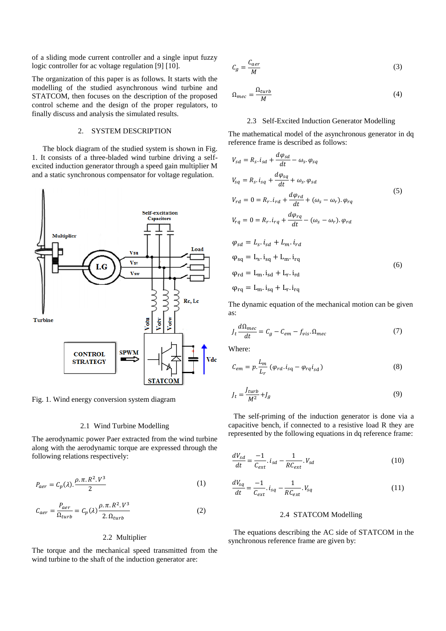of a sliding mode current controller and a single input fuzzy logic controller for ac voltage regulation [9] [10].

The organization of this paper is as follows. It starts with the modelling of the studied asynchronous wind turbine and STATCOM, then focuses on the description of the proposed control scheme and the design of the proper regulators, to finally discuss and analysis the simulated results.

# 2. SYSTEM DESCRIPTION

The block diagram of the studied system is shown in Fig. 1. It consists of a three-bladed wind turbine driving a selfexcited induction generator through a speed gain multiplier M and a static synchronous compensator for voltage regulation.



Fig. 1. Wind energy conversion system diagram

#### 2.1 Wind Turbine Modelling

The aerodynamic power Paer extracted from the wind turbine along with the aerodynamic torque are expressed through the following relations respectively:

$$
P_{aer} = C_p(\lambda) \cdot \frac{\rho \cdot \pi \cdot R^2 \cdot V^3}{2} \tag{1}
$$

$$
C_{aer} = \frac{P_{aer}}{\Omega_{turb}} = C_p(\lambda) \frac{\rho \cdot \pi \cdot R^2 \cdot V^3}{2 \cdot \Omega_{turb}} \tag{2}
$$

#### 2.2 Multiplier

The torque and the mechanical speed transmitted from the wind turbine to the shaft of the induction generator are:

$$
C_g = \frac{C_{aer}}{M} \tag{3}
$$

$$
\Omega_{mec} = \frac{\Omega_{turb}}{M} \tag{4}
$$

## 2.3 Self-Excited Induction Generator Modelling

The mathematical model of the asynchronous generator in dq reference frame is described as follows:

 $\overline{J}$ 

$$
V_{sd} = R_s \tcdot i_{sd} + \frac{u\varphi_{sd}}{dt} - \omega_s \tcdot \varphi_{sq}
$$
  
\n
$$
V_{sq} = R_s \tcdot i_{sq} + \frac{d\varphi_{sq}}{dt} + \omega_s \tcdot \varphi_{sd}
$$
  
\n
$$
V_{rd} = 0 = R_r \tcdot i_{rd} + \frac{d\varphi_{rd}}{dt} + (\omega_s - \omega_r) \tcdot \varphi_{rq}
$$
  
\n
$$
V_{rq} = 0 = R_r \tcdot i_{rq} + \frac{d\varphi_{rq}}{dt} - (\omega_s - \omega_r) \tcdot \varphi_{rd}
$$
  
\n
$$
\varphi_{sd} = L_s \tcdot i_{sd} + L_m \tcdot i_{rd}
$$
  
\n
$$
\varphi_{sq} = L_s \tcdot i_{sq} + L_m \tcdot i_{rq}
$$
  
\n
$$
\varphi_{rd} = L_m \tcdot i_{sd} + L_r \tcdot i_{rd}
$$
  
\n
$$
\varphi_{rq} = L_m \tcdot i_{sq} + L_r \tcdot i_{rq}
$$
  
\n(6)

The dynamic equation of the mechanical motion can be given as:

$$
J_t \frac{d\Omega_{mec}}{dt} = C_g - C_{em} - f_{vis}.\Omega_{mec}
$$
 (7)

Where:

$$
C_{em} = p \cdot \frac{L_m}{L_r} \left( \varphi_{rd} \cdot i_{sq} - \varphi_{rq} i_{sd} \right) \tag{8}
$$

$$
J_t = \frac{J_{turb}}{M^2} + J_g \tag{9}
$$

The self-priming of the induction generator is done via a capacitive bench, if connected to a resistive load R they are represented by the following equations in dq reference frame:

$$
\frac{dV_{sd}}{dt} = \frac{-1}{C_{ext}} \cdot i_{sd} - \frac{1}{RC_{ext}} \cdot V_{sd}
$$
(10)

$$
\frac{dV_{sq}}{dt} = \frac{-1}{C_{ext}} \cdot i_{sq} - \frac{1}{RC_{ext}} \cdot V_{sq} \tag{11}
$$

#### 2.4 STATCOM Modelling

The equations describing the AC side of STATCOM in the synchronous reference frame are given by: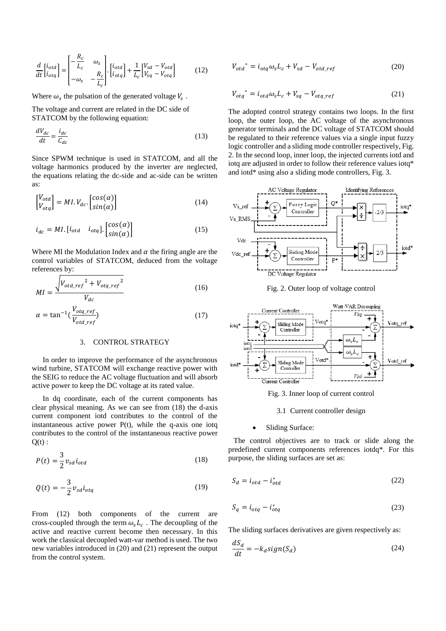$$
\frac{d}{dt} \begin{bmatrix} i_{otd} \\ i_{otq} \end{bmatrix} = \begin{bmatrix} -\frac{R_c}{L_c} & \omega_s \\ -\omega_s & -\frac{R_c}{L_c} \end{bmatrix} \cdot \begin{bmatrix} i_{otd} \\ i_{otq} \end{bmatrix} + \frac{1}{L_c} \begin{bmatrix} V_{sd} - V_{otd} \\ V_{sq} - V_{otq} \end{bmatrix}
$$
(12)

Where  $\omega_s$  the pulsation of the generated voltage  $V_s$ .

The voltage and current are related in the DC side of STATCOM by the following equation:

$$
\frac{dV_{dc}}{dt} = \frac{i_{dc}}{C_{dc}}\tag{13}
$$

Since SPWM technique is used in STATCOM, and all the voltage harmonics produced by the inverter are neglected, the equations relating the dc-side and ac-side can be written as:

$$
\begin{bmatrix} V_{otd} \\ V_{otq} \end{bmatrix} = MI. V_{dc}. \begin{bmatrix} \cos(\alpha) \\ \sin(\alpha) \end{bmatrix}
$$
 (14)

$$
i_{dc} = MI. [i_{otd} \quad i_{otq}]. \begin{bmatrix} cos(\alpha) \\ sin(\alpha) \end{bmatrix}
$$
 (15)

Where MI the Modulation Index and  $\alpha$  the firing angle are the control variables of STATCOM, deduced from the voltage references by:

$$
MI = \frac{\sqrt{V_{otd\_ref}^2 + V_{otq\_ref}^2}}{V_{dc}}
$$
 (16)

$$
\alpha = \tan^{-1}\left(\frac{V_{otq\_ref}}{V_{otd\_ref}}\right) \tag{17}
$$

# 3. CONTROL STRATEGY

In order to improve the performance of the asynchronous wind turbine, STATCOM will exchange reactive power with the SEIG to reduce the AC voltage fluctuation and will absorb active power to keep the DC voltage at its rated value.

In dq coordinate, each of the current components has clear physical meaning. As we can see from (18) the d-axis current component iotd contributes to the control of the instantaneous active power  $P(t)$ , while the q-axis one iotq contributes to the control of the instantaneous reactive power  $O(t)$  :

$$
P(t) = \frac{3}{2} v_{sd} i_{otd} \tag{18}
$$

$$
Q(t) = -\frac{3}{2}v_{sd}i_{otq}
$$
\n(19)

From (12) both components of the current are cross-coupled through the term  $\omega_s L_c$ . The decoupling of the active and reactive current become then necessary. In this work the classical decoupled watt-var method is used. The two new variables introduced in (20) and (21) represent the output from the control system.

$$
V_{\sigma t d}^* = i_{\sigma t q} \omega_s L_c + V_{sd} - V_{\sigma t d\_ref}
$$
 (20)

$$
V_{otq}^* = i_{otd} \omega_s L_c + V_{sq} - V_{otq\_ref}
$$
 (21)

The adopted control strategy contains two loops. In the first loop, the outer loop, the AC voltage of the asynchronous generator terminals and the DC voltage of STATCOM should be regulated to their reference values via a single input fuzzy logic controller and a sliding mode controller respectively, Fig. 2. In the second loop, inner loop, the injected currents iotd and iotq are adjusted in order to follow their reference values iotq\* and iotd\* using also a sliding mode controllers, Fig. 3.



Fig. 2. Outer loop of voltage control



Fig. 3. Inner loop of current control

#### 3.1 Current controller design

#### Sliding Surface:

The control objectives are to track or slide along the predefined current components references iotdq\*. For this purpose, the sliding surfaces are set as:

$$
S_d = i_{otd} - i_{otd}^* \tag{22}
$$

$$
S_q = i_{otq} - i_{otq}^* \tag{23}
$$

The sliding surfaces derivatives are given respectively as:

$$
\frac{dS_d}{dt} = -k_d sign(S_d) \tag{24}
$$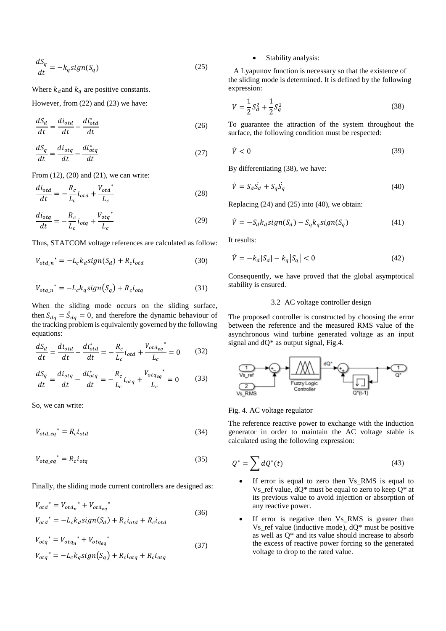$$
\frac{dS_q}{dt} = -k_q sign(S_q) \tag{25}
$$

Where  $k_d$  and  $k_q$  are positive constants.

However, from (22) and (23) we have:

$$
\frac{dS_d}{dt} = \frac{di_{otd}}{dt} - \frac{di_{otd}^*}{dt}
$$
\n(26)

$$
\frac{dS_q}{dt} = \frac{di_{otq}}{dt} - \frac{di_{otq}^*}{dt}
$$
\n(27)

From (12), (20) and (21), we can write:

$$
\frac{di_{otd}}{dt} = -\frac{R_c}{L_c}i_{otd} + \frac{V_{otd}^*}{L_c}
$$
 (28)

$$
\frac{di_{otq}}{dt} = -\frac{R_c}{L_c}i_{otq} + \frac{V_{otq}^*}{L_c}
$$
\n(29)

Thus, STATCOM voltage references are calculated as follow:

$$
V_{\text{otd}_n}^* = -L_c k_d sign(S_d) + R_c i_{\text{otd}} \tag{30}
$$

$$
V_{otq,n}^* = -L_c k_q sign(S_q) + R_c i_{otq}
$$
\n(31)

When the sliding mode occurs on the sliding surface, then  $S_{dq} = \dot{S}_{dq} = 0$ , and therefore the dynamic behaviour of the tracking problem is equivalently governed by the following equations:

$$
\frac{dS_d}{dt} = \frac{di_{otd}}{dt} - \frac{di_{otd}^*}{dt} = -\frac{R_c}{L_c}i_{otd} + \frac{V_{otd_{eq}}^*}{L_c} = 0
$$
 (32)

$$
\frac{dS_q}{dt} = \frac{di_{otq}}{dt} - \frac{di_{otq}^*}{dt} = -\frac{R_c}{L_c}i_{otq} + \frac{V_{otq_{eq}}^*}{L_c} = 0
$$
 (33)

So, we can write:

$$
V_{\text{otd\_eq}}^* = R_c i_{\text{otd}} \tag{34}
$$

$$
V_{otq\_eq}^* = R_c i_{otq} \tag{35}
$$

Finally, the sliding mode current controllers are designed as:

$$
V_{\text{ot}d}^* = V_{\text{ot}d_n}^* + V_{\text{ot}d_{eq}}^*
$$
\n
$$
V_{\text{ot}d}^* = -L_c k_d sign(S_d) + R_c i_{\text{ot}d} + R_c i_{\text{ot}d}
$$
\n
$$
(36)
$$

$$
V_{otq}^* = V_{otq_n}^* + V_{otq_{eq}}^*
$$
  
\n
$$
V_{otq}^* = -L_c k_q sign(S_q) + R_c i_{otq} + R_c i_{otq}
$$
\n(37)

# Stability analysis:

A Lyapunov function is necessary so that the existence of the sliding mode is determined. It is defined by the following expression:

$$
V = \frac{1}{2}S_d^2 + \frac{1}{2}S_q^2
$$
 (38)

To guarantee the attraction of the system throughout the surface, the following condition must be respected:

$$
\dot{V} < 0 \tag{39}
$$

By differentiating (38), we have:

$$
\dot{V} = S_d \dot{S}_d + S_q \dot{S}_q \tag{40}
$$

Replacing (24) and (25) into (40), we obtain:

$$
\dot{V} = -S_d k_d sign(S_d) - S_q k_q sign(S_q)
$$
\n(41)

It results:

$$
\dot{V} = -k_d |S_d| - k_q |S_q| < 0 \tag{42}
$$

Consequently, we have proved that the global asymptotical stability is ensured.

## 3.2 AC voltage controller design

The proposed controller is constructed by choosing the error between the reference and the measured RMS value of the asynchronous wind turbine generated voltage as an input signal and dQ\* as output signal, Fig.4.



Fig. 4. AC voltage regulator

The reference reactive power to exchange with the induction generator in order to maintain the AC voltage stable is calculated using the following expression:

$$
Q^* = \sum dQ^*(t) \tag{43}
$$

- If error is equal to zero then Vs RMS is equal to Vs ref value,  $dQ^*$  must be equal to zero to keep  $Q^*$  at its previous value to avoid injection or absorption of any reactive power.
- If error is negative then Vs\_RMS is greater than Vs\_ref value (inductive mode),  $dQ^*$  must be positive as well as Q\* and its value should increase to absorb the excess of reactive power forcing so the generated voltage to drop to the rated value.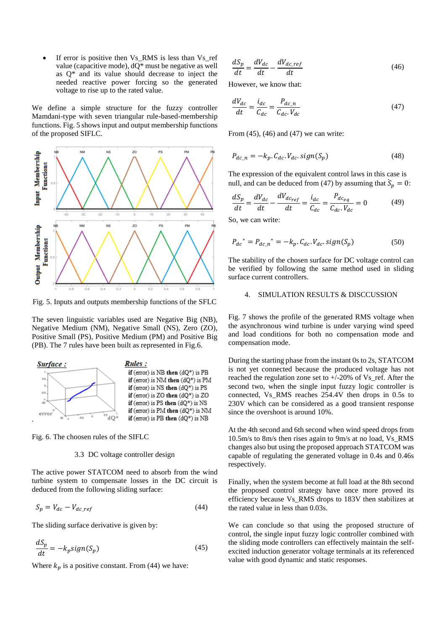If error is positive then Vs\_RMS is less than Vs\_ref value (capacitive mode), dQ\* must be negative as well as Q\* and its value should decrease to inject the needed reactive power forcing so the generated voltage to rise up to the rated value.

We define a simple structure for the fuzzy controller Mamdani-type with seven triangular rule-based-membership functions. Fig. 5 shows input and output membership functions of the proposed SIFLC.



Fig. 5. Inputs and outputs membership functions of the SFLC

The seven linguistic variables used are Negative Big (NB), Negative Medium (NM), Negative Small (NS), Zero (ZO), Positive Small (PS), Positive Medium (PM) and Positive Big (PB). The 7 rules have been built as represented in Fig.6.



Fig. 6. The choosen rules of the SIFLC

# 3.3 DC voltage controller design

The active power STATCOM need to absorb from the wind turbine system to compensate losses in the DC circuit is deduced from the following sliding surface:

$$
S_p = V_{dc} - V_{dc\_ref} \tag{44}
$$

The sliding surface derivative is given by:

$$
\frac{dS_p}{dt} = -k_p sign(S_p) \tag{45}
$$

Where  $k_p$  is a positive constant. From (44) we have:

$$
\frac{dS_p}{dt} = \frac{dV_{dc}}{dt} - \frac{dV_{dc\_ref}}{dt}
$$
\n(46)

However, we know that:

$$
\frac{dV_{dc}}{dt} = \frac{i_{dc}}{C_{dc}} = \frac{P_{dc\_n}}{C_{dc} \cdot V_{dc}}
$$
(47)

From (45), (46) and (47) we can write:

$$
P_{dc\_n} = -k_p \cdot C_{dc} \cdot V_{dc} \cdot sign(S_p) \tag{48}
$$

The expression of the equivalent control laws in this case is null, and can be deduced from (47) by assuming that  $\ddot{S}_p = 0$ :

$$
\frac{dS_p}{dt} = \frac{dV_{dc}}{dt} - \frac{dV_{dc_{ref}}}{dt} = \frac{i_{dc}}{C_{dc}} = \frac{P_{dc_{eq}}}{C_{dc}V_{dc}} = 0
$$
\n(49)

So, we can write:

$$
P_{dc}^* = P_{dc\_n}^* = -k_p \cdot C_{dc} \cdot V_{dc} \cdot sign(S_p)
$$
 (50)

The stability of the chosen surface for DC voltage control can be verified by following the same method used in sliding surface current controllers.

# 4. SIMULATION RESULTS & DISCCUSSION

Fig. 7 shows the profile of the generated RMS voltage when the asynchronous wind turbine is under varying wind speed and load conditions for both no compensation mode and compensation mode.

During the starting phase from the instant 0s to 2s, STATCOM is not yet connected because the produced voltage has not reached the regulation zone set to +/-20% of Vs\_ref. After the second two, when the single input fuzzy logic controller is connected, Vs\_RMS reaches 254.4V then drops in 0.5s to 230V which can be considered as a good transient response since the overshoot is around 10%.

At the 4th second and 6th second when wind speed drops from 10.5m/s to 8m/s then rises again to 9m/s at no load, Vs\_RMS changes also but using the proposed approach STATCOM was capable of regulating the generated voltage in 0.4s and 0.46s respectively.

Finally, when the system become at full load at the 8th second the proposed control strategy have once more proved its efficiency because Vs\_RMS drops to 183V then stabilizes at the rated value in less than 0.03s.

We can conclude so that using the proposed structure of control, the single input fuzzy logic controller combined with the sliding mode controllers can effectively maintain the selfexcited induction generator voltage terminals at its referenced value with good dynamic and static responses.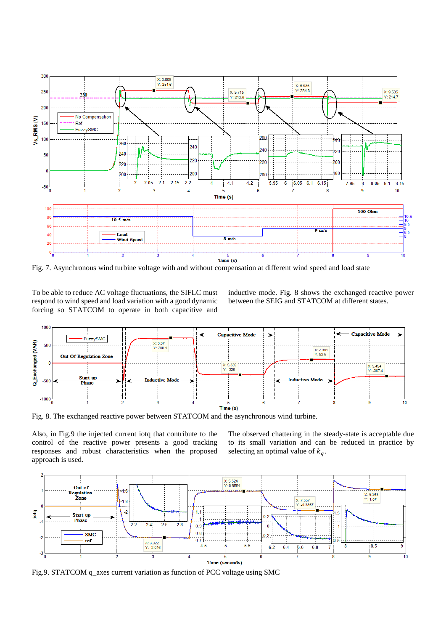

Fig. 7. Asynchronous wind turbine voltage with and without compensation at different wind speed and load state

To be able to reduce AC voltage fluctuations, the SIFLC must respond to wind speed and load variation with a good dynamic forcing so STATCOM to operate in both capacitive and inductive mode. Fig. 8 shows the exchanged reactive power between the SEIG and STATCOM at different states.



Fig. 8. The exchanged reactive power between STATCOM and the asynchronous wind turbine.

Also, in Fig.9 the injected current iotq that contribute to the control of the reactive power presents a good tracking responses and robust characteristics when the proposed approach is used.

The observed chattering in the steady-state is acceptable due to its small variation and can be reduced in practice by selecting an optimal value of  $k_a$ .



Fig.9. STATCOM q\_axes current variation as function of PCC voltage using SMC